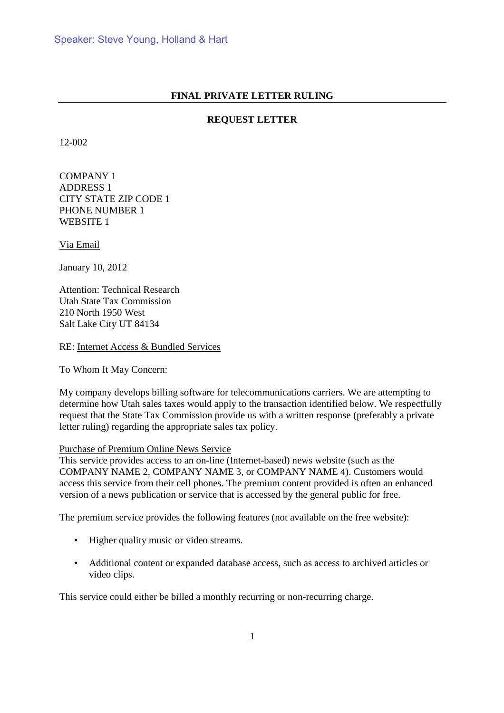## **FINAL PRIVATE LETTER RULING**

# **REQUEST LETTER**

12-002

COMPANY 1 ADDRESS 1 CITY STATE ZIP CODE 1 PHONE NUMBER 1 WEBSITE 1

Via Email

January 10, 2012

Attention: Technical Research Utah State Tax Commission 210 North 1950 West Salt Lake City UT 84134

RE: Internet Access & Bundled Services

To Whom It May Concern:

My company develops billing software for telecommunications carriers. We are attempting to determine how Utah sales taxes would apply to the transaction identified below. We respectfully request that the State Tax Commission provide us with a written response (preferably a private letter ruling) regarding the appropriate sales tax policy.

### Purchase of Premium Online News Service

This service provides access to an on-line (Internet-based) news website (such as the COMPANY NAME 2, COMPANY NAME 3, or COMPANY NAME 4). Customers would access this service from their cell phones. The premium content provided is often an enhanced version of a news publication or service that is accessed by the general public for free.

The premium service provides the following features (not available on the free website):

- Higher quality music or video streams.
- Additional content or expanded database access, such as access to archived articles or video clips.

This service could either be billed a monthly recurring or non-recurring charge.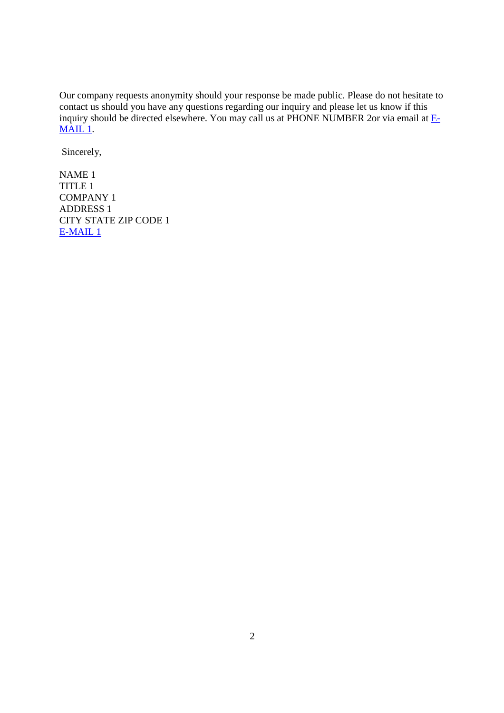Our company requests anonymity should your response be made public. Please do not hesitate to contact us should you have any questions regarding our inquiry and please let us know if this inquiry should be directed elsewhere. You may call us at PHONE NUMBER 2or via email at  $E$ -MAIL 1.

Sincerely,

NAME 1 TITLE 1 COMPANY 1 ADDRESS 1 CITY STATE ZIP CODE 1 E-MAIL 1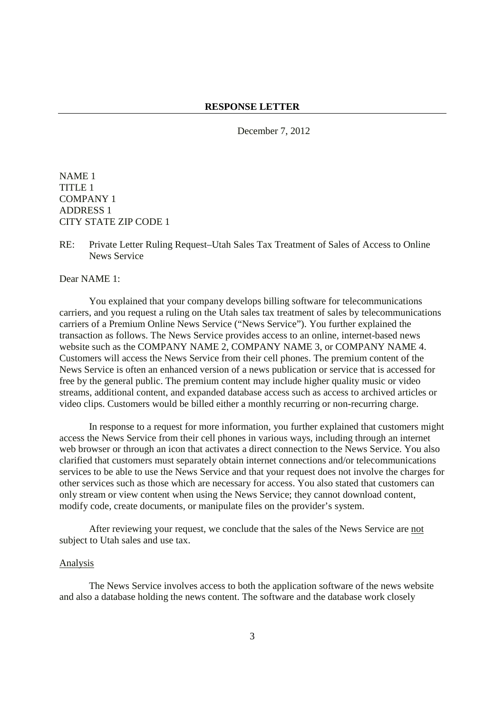December 7, 2012

NAME 1 TITLE 1 COMPANY 1 ADDRESS 1 CITY STATE ZIP CODE 1

RE: Private Letter Ruling Request–Utah Sales Tax Treatment of Sales of Access to Online News Service

Dear NAME 1:

 You explained that your company develops billing software for telecommunications carriers, and you request a ruling on the Utah sales tax treatment of sales by telecommunications carriers of a Premium Online News Service ("News Service"). You further explained the transaction as follows. The News Service provides access to an online, internet-based news website such as the COMPANY NAME 2, COMPANY NAME 3, or COMPANY NAME 4. Customers will access the News Service from their cell phones. The premium content of the News Service is often an enhanced version of a news publication or service that is accessed for free by the general public. The premium content may include higher quality music or video streams, additional content, and expanded database access such as access to archived articles or video clips. Customers would be billed either a monthly recurring or non-recurring charge.

In response to a request for more information, you further explained that customers might access the News Service from their cell phones in various ways, including through an internet web browser or through an icon that activates a direct connection to the News Service. You also clarified that customers must separately obtain internet connections and/or telecommunications services to be able to use the News Service and that your request does not involve the charges for other services such as those which are necessary for access. You also stated that customers can only stream or view content when using the News Service; they cannot download content, modify code, create documents, or manipulate files on the provider's system.

After reviewing your request, we conclude that the sales of the News Service are not subject to Utah sales and use tax.

#### Analysis

The News Service involves access to both the application software of the news website and also a database holding the news content. The software and the database work closely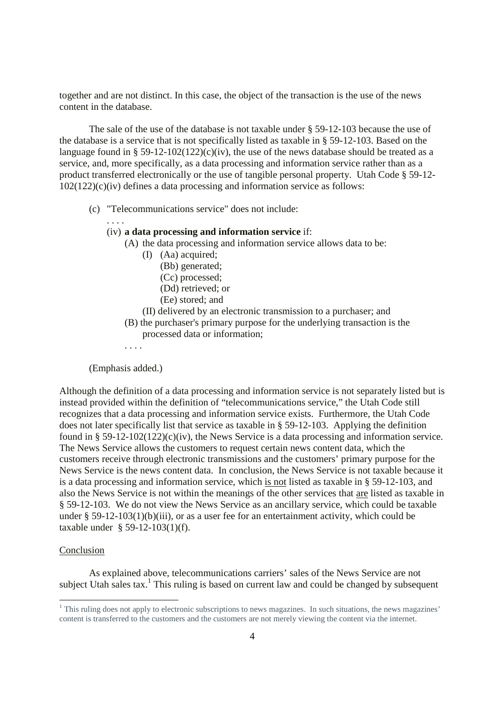together and are not distinct. In this case, the object of the transaction is the use of the news content in the database.

The sale of the use of the database is not taxable under § 59-12-103 because the use of the database is a service that is not specifically listed as taxable in § 59-12-103. Based on the language found in § 59-12-102(122)(c)(iv), the use of the news database should be treated as a service, and, more specifically, as a data processing and information service rather than as a product transferred electronically or the use of tangible personal property. Utah Code § 59-12- 102(122)(c)(iv) defines a data processing and information service as follows:

- (c) "Telecommunications service" does not include:
	- . . . .

### (iv) **a data processing and information service** if:

- (A) the data processing and information service allows data to be:
	- (I) (Aa) acquired;
		- (Bb) generated;
		- (Cc) processed;
		- (Dd) retrieved; or
		- (Ee) stored; and
- (II) delivered by an electronic transmission to a purchaser; and
- (B) the purchaser's primary purpose for the underlying transaction is the processed data or information;

. . . .

#### (Emphasis added.)

Although the definition of a data processing and information service is not separately listed but is instead provided within the definition of "telecommunications service," the Utah Code still recognizes that a data processing and information service exists. Furthermore, the Utah Code does not later specifically list that service as taxable in § 59-12-103. Applying the definition found in §  $59-12-102(122)(c)(iv)$ , the News Service is a data processing and information service. The News Service allows the customers to request certain news content data, which the customers receive through electronic transmissions and the customers' primary purpose for the News Service is the news content data. In conclusion, the News Service is not taxable because it is a data processing and information service, which is not listed as taxable in § 59-12-103, and also the News Service is not within the meanings of the other services that are listed as taxable in § 59-12-103. We do not view the News Service as an ancillary service, which could be taxable under  $\S 59-12-103(1)(b)(iii)$ , or as a user fee for an entertainment activity, which could be taxable under § 59-12-103(1)(f).

#### Conclusion

<u>.</u>

As explained above, telecommunications carriers' sales of the News Service are not subject Utah sales tax.<sup>1</sup> This ruling is based on current law and could be changed by subsequent

<sup>&</sup>lt;sup>1</sup> This ruling does not apply to electronic subscriptions to news magazines. In such situations, the news magazines' content is transferred to the customers and the customers are not merely viewing the content via the internet.